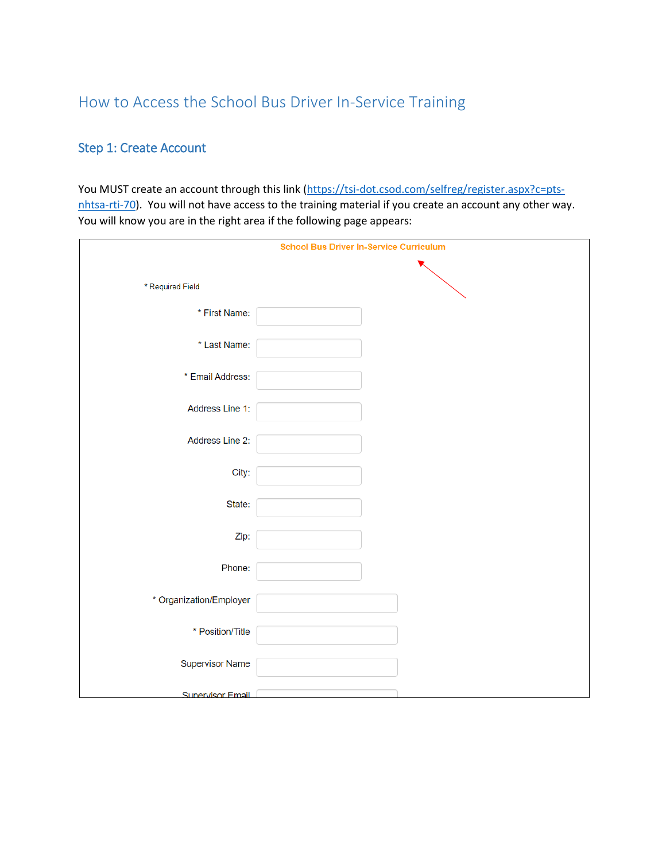# How to Access the School Bus Driver In-Service Training

# Step 1: Create Account

You MUST create an account through this link [\(https://tsi-dot.csod.com/selfreg/register.aspx?c=pts](https://tsi-dot.csod.com/selfreg/register.aspx?c=pts-nhtsa-rti-70)[nhtsa-rti-70\)](https://tsi-dot.csod.com/selfreg/register.aspx?c=pts-nhtsa-rti-70). You will not have access to the training material if you create an account any other way. You will know you are in the right area if the following page appears:

|                         | <b>School Bus Driver In-Service Curriculum</b> |
|-------------------------|------------------------------------------------|
|                         |                                                |
| * Required Field        |                                                |
|                         |                                                |
| * First Name:           |                                                |
| * Last Name:            |                                                |
|                         |                                                |
| * Email Address:        |                                                |
|                         |                                                |
| Address Line 1:         |                                                |
| Address Line 2:         |                                                |
|                         |                                                |
| City:                   |                                                |
|                         |                                                |
| State:                  |                                                |
|                         |                                                |
| Zip:                    |                                                |
| Phone:                  |                                                |
|                         |                                                |
| * Organization/Employer |                                                |
|                         |                                                |
| * Position/Title        |                                                |
|                         |                                                |
| Supervisor Name         |                                                |
| <b>Supervisor Email</b> |                                                |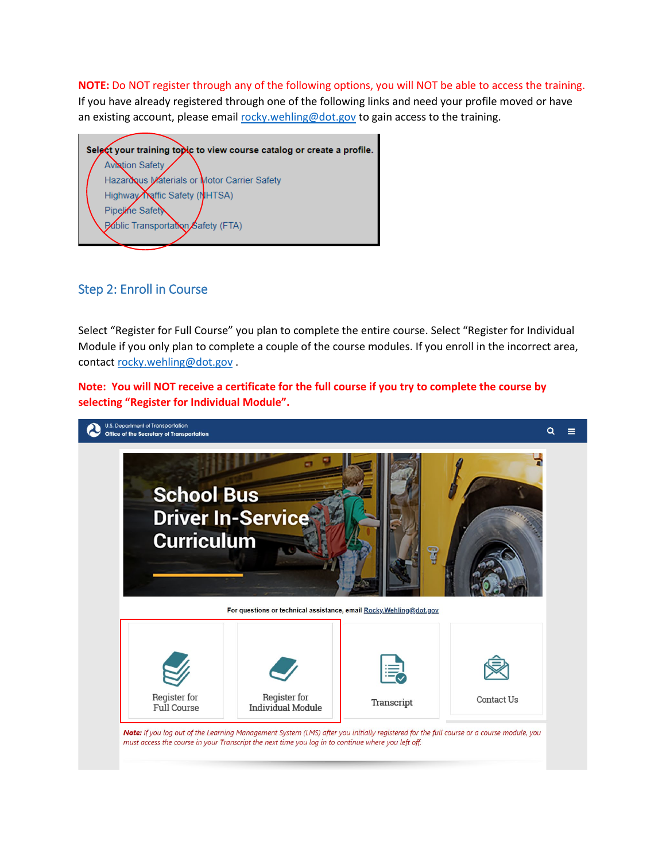**NOTE:** Do NOT register through any of the following options, you will NOT be able to access the training. If you have already registered through one of the following links and need your profile moved or have an existing account, please emai[l rocky.wehling@dot.gov](mailto:rocky.wehling@dot.gov) to gain access to the training.

Select your training topic to view course catalog or create a profile. **Aviation Safety** Hazardous Materials or Motor Carrier Safety Highway Reffic Safety (NHTSA) Pipeline Safety Pablic Transportation Safety (FTA)

## Step 2: Enroll in Course

Select "Register for Full Course" you plan to complete the entire course. Select "Register for Individual Module if you only plan to complete a couple of the course modules. If you enroll in the incorrect area, contact [rocky.wehling@dot.gov](mailto:rocky.wehling@dot.gov).

**Note: You will NOT receive a certificate for the full course if you try to complete the course by selecting "Register for Individual Module".** 

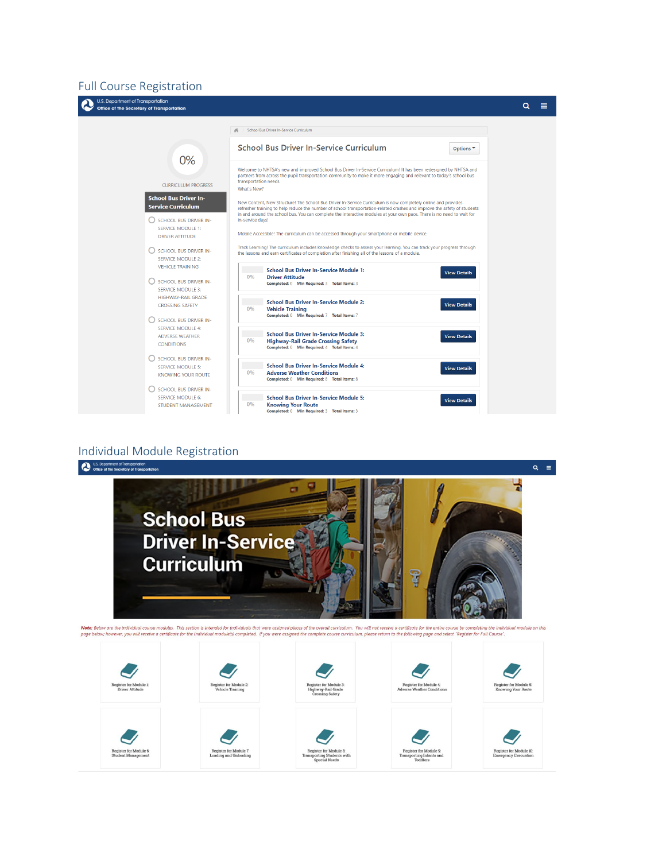#### Full Course Registration



#### Individual Module Registration

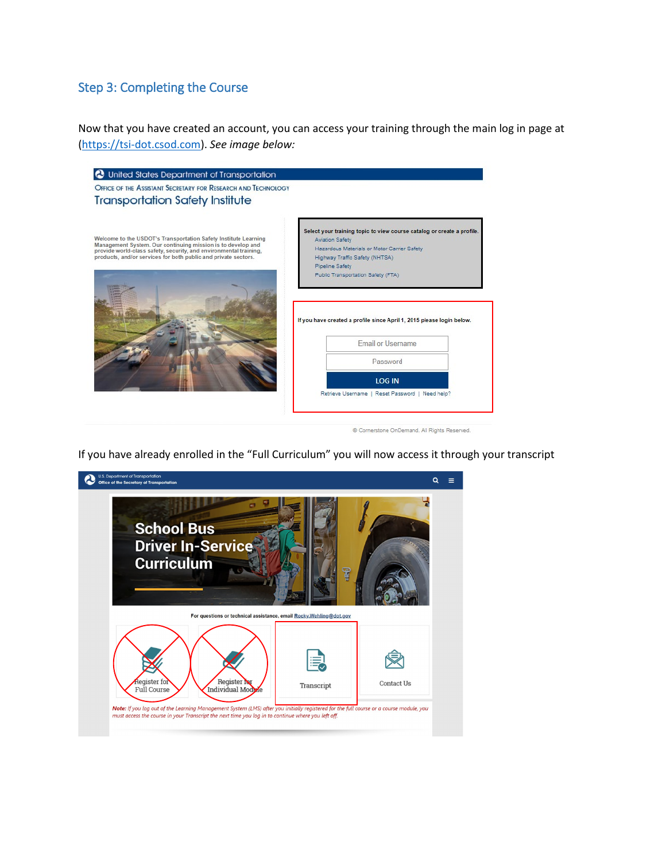# Step 3: Completing the Course

Now that you have created an account, you can access your training through the main log in page at [\(https://tsi-dot.csod.com\)](https://tsi-dot.csod.com/). *See image below:*

| OFFICE OF THE ASSISTANT SECRETARY FOR RESEARCH AND TECHNOLOGY<br><b>Transportation Safety Institute</b>                                                                                                                                                               |                                                                                                                                                                                                                                            |
|-----------------------------------------------------------------------------------------------------------------------------------------------------------------------------------------------------------------------------------------------------------------------|--------------------------------------------------------------------------------------------------------------------------------------------------------------------------------------------------------------------------------------------|
| Welcome to the USDOT's Transportation Safety Institute Learning<br>Management System. Our continuing mission is to develop and<br>provide world-class safety, security, and environmental training,<br>products, and/or services for both public and private sectors. | Select your training topic to view course catalog or create a profile.<br><b>Aviation Safety</b><br>Hazardous Materials or Motor Carrier Safety<br>Highway Traffic Safety (NHTSA)<br>Pipeline Safety<br>Public Transportation Safety (FTA) |
|                                                                                                                                                                                                                                                                       |                                                                                                                                                                                                                                            |
|                                                                                                                                                                                                                                                                       | If you have created a profile since April 1, 2015 please login below.                                                                                                                                                                      |
|                                                                                                                                                                                                                                                                       | <b>Email or Username</b>                                                                                                                                                                                                                   |
|                                                                                                                                                                                                                                                                       | Password                                                                                                                                                                                                                                   |
|                                                                                                                                                                                                                                                                       | <b>LOG IN</b>                                                                                                                                                                                                                              |

If you have already enrolled in the "Full Curriculum" you will now access it through your transcript

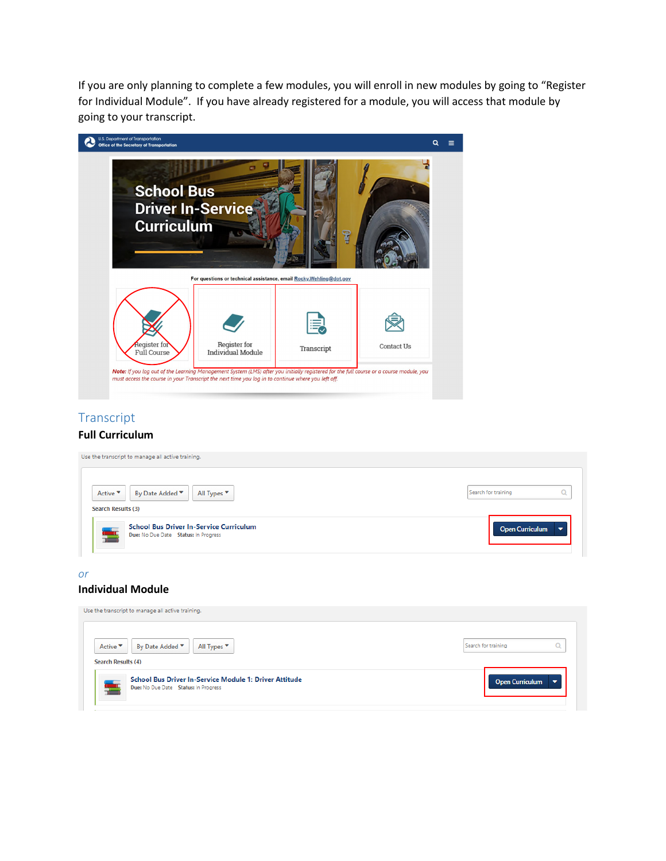If you are only planning to complete a few modules, you will enroll in new modules by going to "Register for Individual Module". If you have already registered for a module, you will access that module by going to your transcript.



## Transcript

#### **Full Curriculum**

| Use the transcript to manage all active training.                                      |                        |
|----------------------------------------------------------------------------------------|------------------------|
| All Types ▼<br>By Date Added ▼<br>Active ▼<br>Search Results (3)                       | Search for training    |
| <b>School Bus Driver In-Service Curriculum</b><br>Due: No Due Date Status: In Progress | <b>Open Curriculum</b> |

#### *or*

#### **Individual Module**

| Use the transcript to manage all active training.                                              |                        |
|------------------------------------------------------------------------------------------------|------------------------|
| All Types ▼<br>By Date Added ▼<br>Active $\blacktriangledown$<br><b>Search Results (4)</b>     | Search for training    |
| School Bus Driver In-Service Module 1: Driver Attitude<br>Due: No Due Date Status: In Progress | <b>Open Curriculum</b> |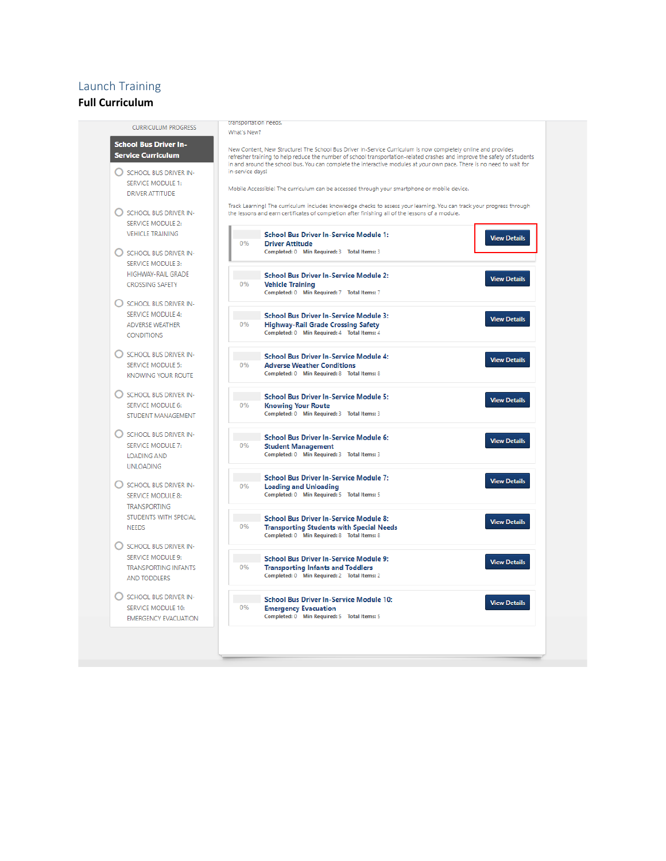## Launch Training

#### **Full Curriculum**

|                                                           | transportation needs.                                                                                                                                                                                                                                                                                                                                              |  |
|-----------------------------------------------------------|--------------------------------------------------------------------------------------------------------------------------------------------------------------------------------------------------------------------------------------------------------------------------------------------------------------------------------------------------------------------|--|
| <b>CURRICULUM PROGRESS</b>                                | What's New?                                                                                                                                                                                                                                                                                                                                                        |  |
| <b>School Bus Driver In-</b><br><b>Service Curriculum</b> | New Content, New Structure! The School Bus Driver In-Service Curriculum is now completely online and provides<br>refresher training to help reduce the number of school transportation-related crashes and improve the safety of students<br>in and around the school bus. You can complete the interactive modules at your own pace. There is no need to wait for |  |
| SCHOOL BUS DRIVER IN-                                     | in-service days!                                                                                                                                                                                                                                                                                                                                                   |  |
| <b>SERVICE MODULE 1:</b>                                  |                                                                                                                                                                                                                                                                                                                                                                    |  |
| <b>DRIVER ATTITUDE</b>                                    | Mobile Accessible! The curriculum can be accessed through your smartphone or mobile device.                                                                                                                                                                                                                                                                        |  |
|                                                           |                                                                                                                                                                                                                                                                                                                                                                    |  |
| SCHOOL BUS DRIVER IN-<br><b>SERVICE MODULE 2:</b>         | Track Learning! The curriculum includes knowledge checks to assess your learning. You can track your progress through<br>the lessons and earn certificates of completion after finishing all of the lessons of a module.                                                                                                                                           |  |
| <b>VEHICLE TRAINING</b>                                   | <b>School Bus Driver In-Service Module 1:</b><br><b>View Details</b>                                                                                                                                                                                                                                                                                               |  |
|                                                           | 0%<br><b>Driver Attitude</b>                                                                                                                                                                                                                                                                                                                                       |  |
| SCHOOL BUS DRIVER IN-                                     | Completed: 0 Min Required: 3 Total Items: 3                                                                                                                                                                                                                                                                                                                        |  |
| SERVICE MODULE 3:                                         |                                                                                                                                                                                                                                                                                                                                                                    |  |
|                                                           |                                                                                                                                                                                                                                                                                                                                                                    |  |
| HIGHWAY-RAIL GRADE                                        | <b>School Bus Driver In-Service Module 2:</b><br><b>View Details</b>                                                                                                                                                                                                                                                                                               |  |
| <b>CROSSING SAFETY</b>                                    | 0%<br><b>Vehicle Training</b>                                                                                                                                                                                                                                                                                                                                      |  |
|                                                           | Completed: 0 Min Required: 7 Total Items: 7                                                                                                                                                                                                                                                                                                                        |  |
| SCHOOL BUS DRIVER IN-                                     |                                                                                                                                                                                                                                                                                                                                                                    |  |
| <b>SERVICE MODULE 4:</b>                                  | <b>School Bus Driver In-Service Module 3:</b>                                                                                                                                                                                                                                                                                                                      |  |
|                                                           | <b>View Details</b><br>0%                                                                                                                                                                                                                                                                                                                                          |  |
| <b>ADVERSE WEATHER</b>                                    | <b>Highway-Rail Grade Crossing Safety</b><br>Completed: 0 Min Required: 4 Total Items: 4                                                                                                                                                                                                                                                                           |  |
| <b>CONDITIONS</b>                                         |                                                                                                                                                                                                                                                                                                                                                                    |  |
|                                                           |                                                                                                                                                                                                                                                                                                                                                                    |  |
| SCHOOL BUS DRIVER IN-                                     | <b>School Bus Driver In-Service Module 4:</b>                                                                                                                                                                                                                                                                                                                      |  |
| <b>SERVICE MODULE 5:</b>                                  | <b>View Details</b><br>0%<br><b>Adverse Weather Conditions</b>                                                                                                                                                                                                                                                                                                     |  |
| <b>KNOWING YOUR ROUTE</b>                                 | Completed: 0 Min Required: 8 Total Items: 8                                                                                                                                                                                                                                                                                                                        |  |
|                                                           |                                                                                                                                                                                                                                                                                                                                                                    |  |
|                                                           |                                                                                                                                                                                                                                                                                                                                                                    |  |
| SCHOOL BUS DRIVER IN-                                     | <b>School Bus Driver In-Service Module 5:</b><br><b>View Details</b>                                                                                                                                                                                                                                                                                               |  |
| <b>SERVICE MODULE 6:</b>                                  | 0%<br><b>Knowing Your Route</b>                                                                                                                                                                                                                                                                                                                                    |  |
| STUDENT MANAGEMENT                                        | Completed: 0 Min Required: 3 Total Items: 3                                                                                                                                                                                                                                                                                                                        |  |
|                                                           |                                                                                                                                                                                                                                                                                                                                                                    |  |
| SCHOOL BUS DRIVER IN-                                     |                                                                                                                                                                                                                                                                                                                                                                    |  |
|                                                           | <b>School Bus Driver In-Service Module 6:</b><br><b>View Details</b>                                                                                                                                                                                                                                                                                               |  |
| <b>SERVICE MODULE 7:</b>                                  | 0%<br><b>Student Management</b>                                                                                                                                                                                                                                                                                                                                    |  |
| <b>LOADING AND</b>                                        | Completed: 0 Min Required: 3 Total Items: 3                                                                                                                                                                                                                                                                                                                        |  |
| <b>UNLOADING</b>                                          |                                                                                                                                                                                                                                                                                                                                                                    |  |
|                                                           | <b>School Bus Driver In-Service Module 7:</b>                                                                                                                                                                                                                                                                                                                      |  |
| SCHOOL BUS DRIVER IN-                                     | <b>View Details</b><br>0%<br><b>Loading and Unloading</b>                                                                                                                                                                                                                                                                                                          |  |
| <b>SERVICE MODULE 8:</b>                                  | Completed: 0 Min Required: 5 Total Items: 5                                                                                                                                                                                                                                                                                                                        |  |
|                                                           |                                                                                                                                                                                                                                                                                                                                                                    |  |
| <b>TRANSPORTING</b>                                       |                                                                                                                                                                                                                                                                                                                                                                    |  |
| STUDENTS WITH SPECIAL                                     | <b>School Bus Driver In-Service Module 8:</b><br><b>View Details</b>                                                                                                                                                                                                                                                                                               |  |
| <b>NEEDS</b>                                              | 0%<br><b>Transporting Students with Special Needs</b>                                                                                                                                                                                                                                                                                                              |  |
|                                                           | Completed: 0 Min Required: 8 Total Items: 8                                                                                                                                                                                                                                                                                                                        |  |
| SCHOOL BUS DRIVER IN-                                     |                                                                                                                                                                                                                                                                                                                                                                    |  |
|                                                           |                                                                                                                                                                                                                                                                                                                                                                    |  |
| <b>SERVICE MODULE 9:</b>                                  | <b>School Bus Driver In-Service Module 9:</b><br><b>View Details</b>                                                                                                                                                                                                                                                                                               |  |
| <b>TRANSPORTING INFANTS</b>                               | 0%<br><b>Transporting Infants and Toddlers</b>                                                                                                                                                                                                                                                                                                                     |  |
| AND TODDLERS                                              | Completed: 0 Min Required: 2 Total Items: 2                                                                                                                                                                                                                                                                                                                        |  |
|                                                           |                                                                                                                                                                                                                                                                                                                                                                    |  |
| SCHOOL BUS DRIVER IN-                                     |                                                                                                                                                                                                                                                                                                                                                                    |  |
|                                                           | <b>School Bus Driver In-Service Module 10:</b><br><b>View Details</b>                                                                                                                                                                                                                                                                                              |  |
| SERVICE MODULE 10:                                        | 0%<br><b>Emergency Evacuation</b>                                                                                                                                                                                                                                                                                                                                  |  |
| <b>EMERGENCY EVACUATION</b>                               | Completed: 0 Min Required: 5 Total Items: 5                                                                                                                                                                                                                                                                                                                        |  |
|                                                           |                                                                                                                                                                                                                                                                                                                                                                    |  |
|                                                           |                                                                                                                                                                                                                                                                                                                                                                    |  |
|                                                           |                                                                                                                                                                                                                                                                                                                                                                    |  |
|                                                           |                                                                                                                                                                                                                                                                                                                                                                    |  |
|                                                           |                                                                                                                                                                                                                                                                                                                                                                    |  |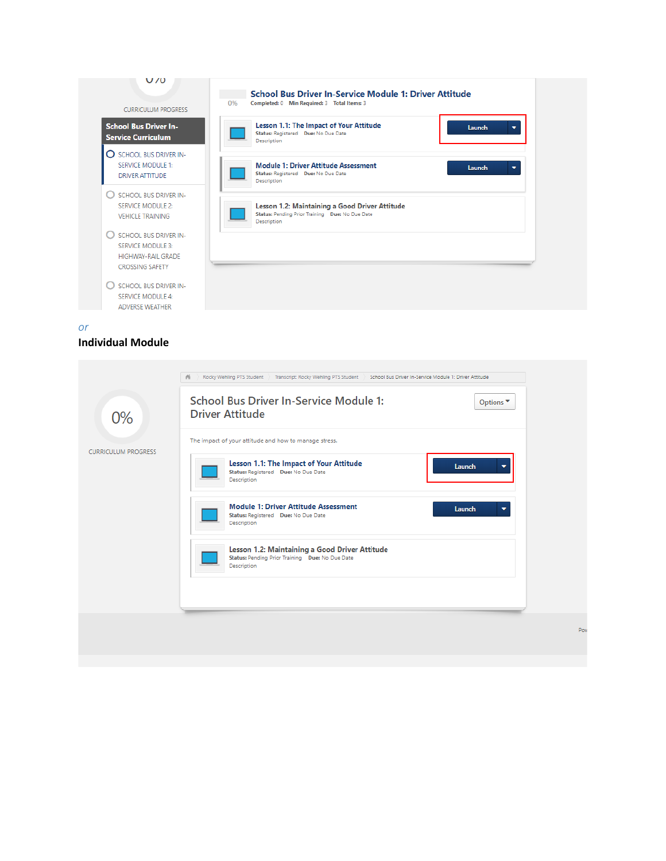

*or*

#### **Individual Module**